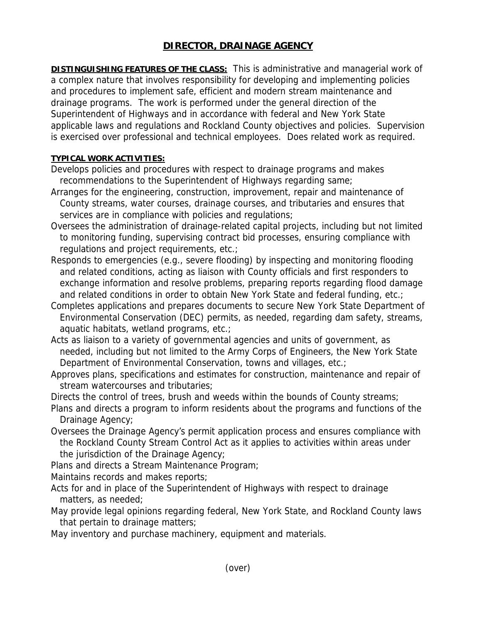## **DIRECTOR, DRAINAGE AGENCY**

**DISTINGUISHING FEATURES OF THE CLASS:** This is administrative and managerial work of a complex nature that involves responsibility for developing and implementing policies and procedures to implement safe, efficient and modern stream maintenance and drainage programs. The work is performed under the general direction of the Superintendent of Highways and in accordance with federal and New York State applicable laws and regulations and Rockland County objectives and policies. Supervision is exercised over professional and technical employees. Does related work as required.

## **TYPICAL WORK ACTIVITIES:**

Develops policies and procedures with respect to drainage programs and makes recommendations to the Superintendent of Highways regarding same;

- Arranges for the engineering, construction, improvement, repair and maintenance of County streams, water courses, drainage courses, and tributaries and ensures that services are in compliance with policies and regulations;
- Oversees the administration of drainage-related capital projects, including but not limited to monitoring funding, supervising contract bid processes, ensuring compliance with regulations and project requirements, etc.;
- Responds to emergencies (e.g., severe flooding) by inspecting and monitoring flooding and related conditions, acting as liaison with County officials and first responders to exchange information and resolve problems, preparing reports regarding flood damage and related conditions in order to obtain New York State and federal funding, etc.;
- Completes applications and prepares documents to secure New York State Department of Environmental Conservation (DEC) permits, as needed, regarding dam safety, streams, aquatic habitats, wetland programs, etc.;
- Acts as liaison to a variety of governmental agencies and units of government, as needed, including but not limited to the Army Corps of Engineers, the New York State Department of Environmental Conservation, towns and villages, etc.;
- Approves plans, specifications and estimates for construction, maintenance and repair of stream watercourses and tributaries;

Directs the control of trees, brush and weeds within the bounds of County streams;

- Plans and directs a program to inform residents about the programs and functions of the Drainage Agency;
- Oversees the Drainage Agency's permit application process and ensures compliance with the Rockland County Stream Control Act as it applies to activities within areas under the jurisdiction of the Drainage Agency;

Plans and directs a Stream Maintenance Program;

Maintains records and makes reports;

- Acts for and in place of the Superintendent of Highways with respect to drainage matters, as needed;
- May provide legal opinions regarding federal, New York State, and Rockland County laws that pertain to drainage matters;

May inventory and purchase machinery, equipment and materials.